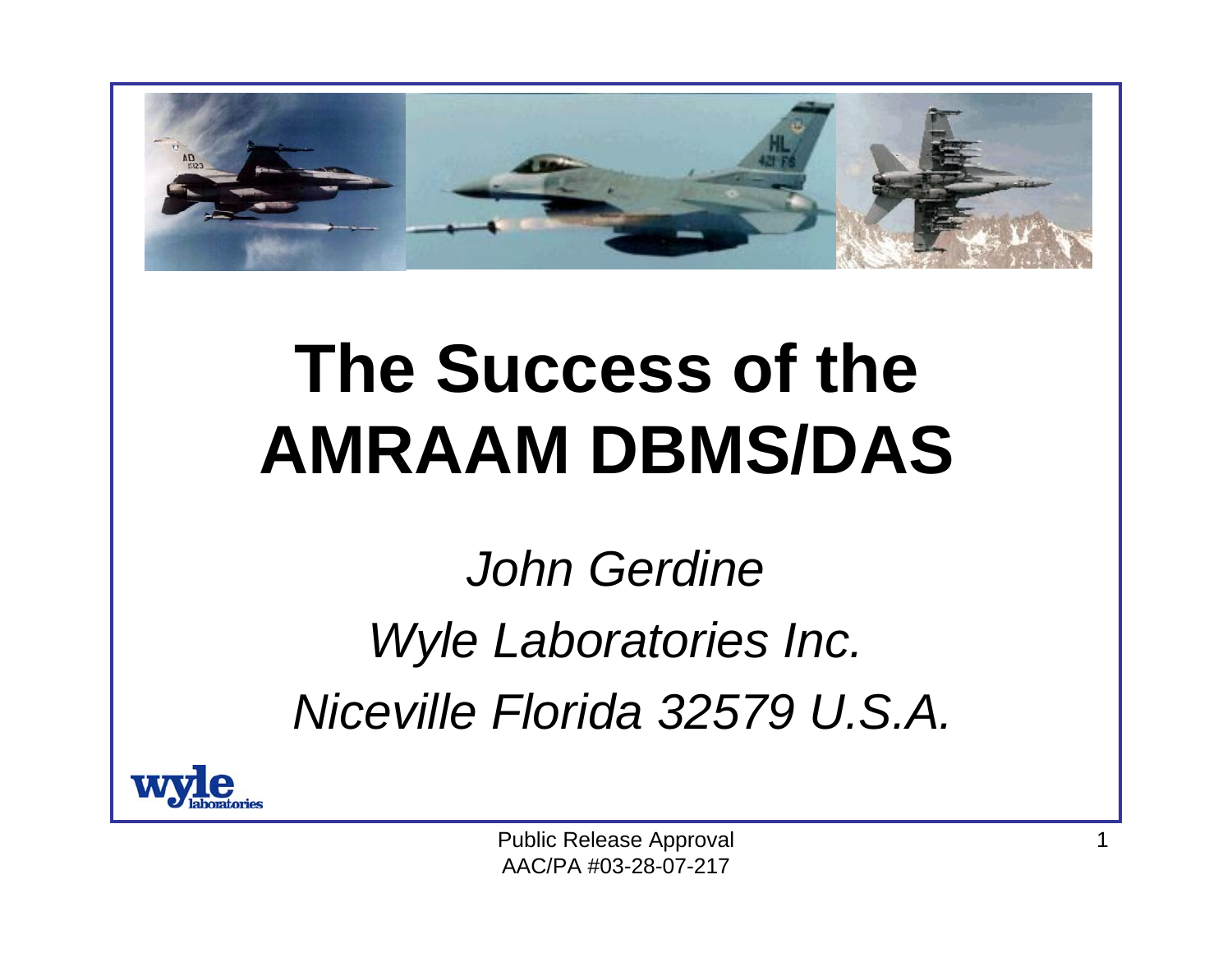

#### **The Success of the AMRAAM DBMS/DAS**

*John Gerdine Wyle Laboratories Inc. Niceville Florida 32579 U.S.A.*



Public Release Approval AAC/PA #03-28-07-217

1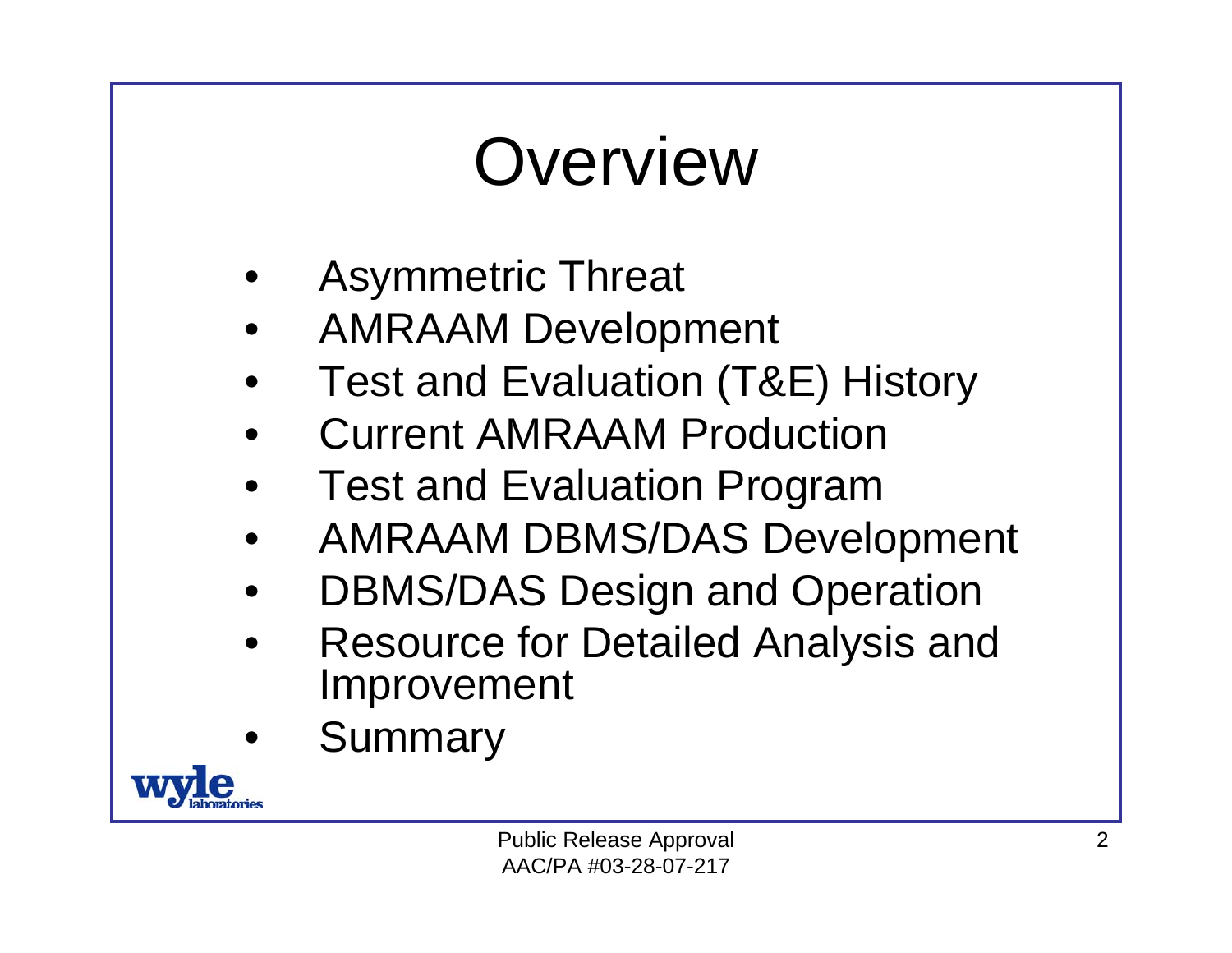## **Overview**

- •Asymmetric Threat
- •AMRAAM Development
- •Test and Evaluation (T&E) History
- •Current AMRAAM Production
- •Test and Evaluation Program
- •AMRAAM DBMS/DAS Development
- •DBMS/DAS Design and Operation
- • Resource for Detailed Analysis and Improvement
- •Summary

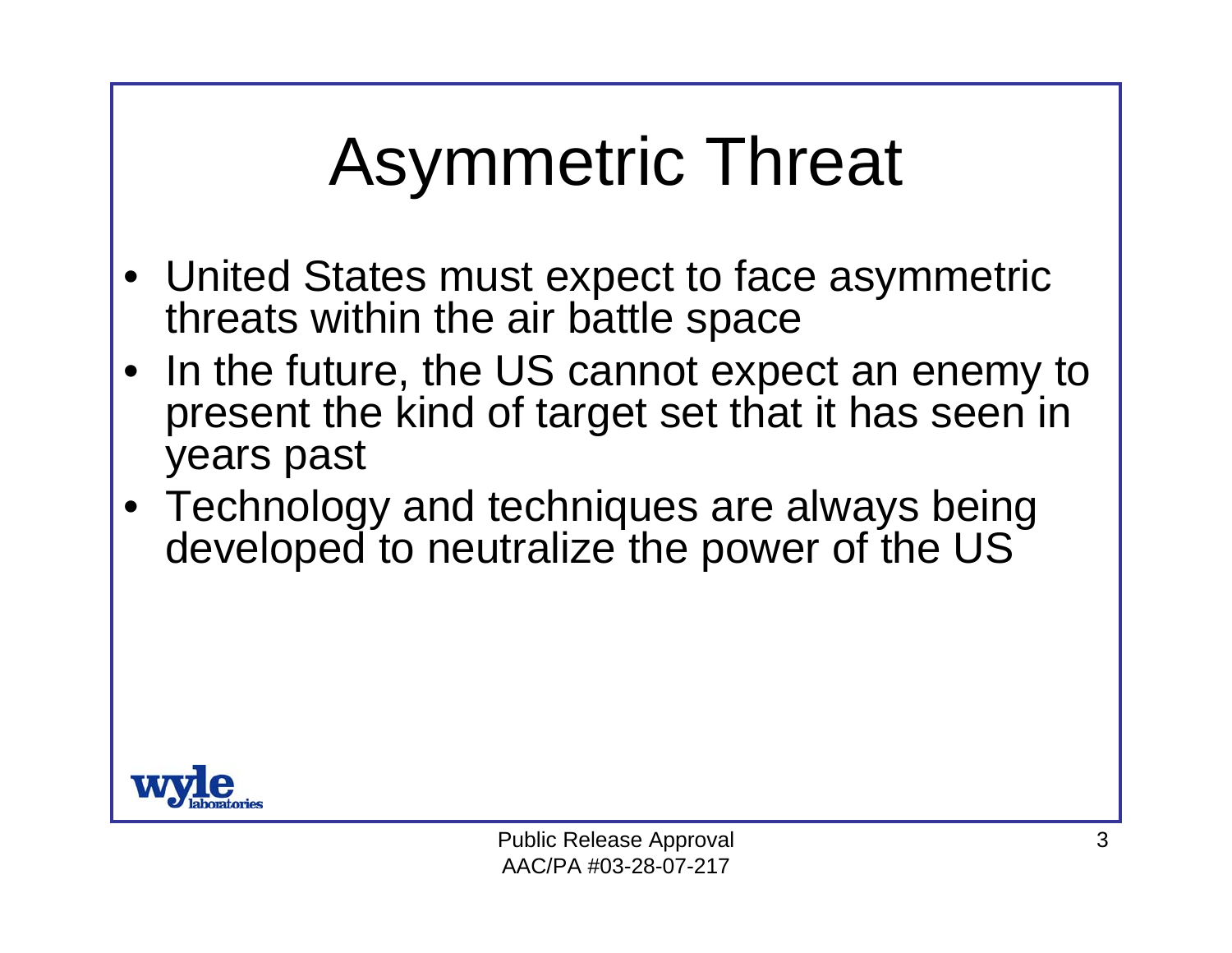# Asymmetric Threat

- United States must expect to face asymmetric threats within the air battle space
- • In the future, the US cannot expect an enemy to present the kind of target set that it has seen in years past
- Technology and techniques are always being developed to neutralize the power of the US

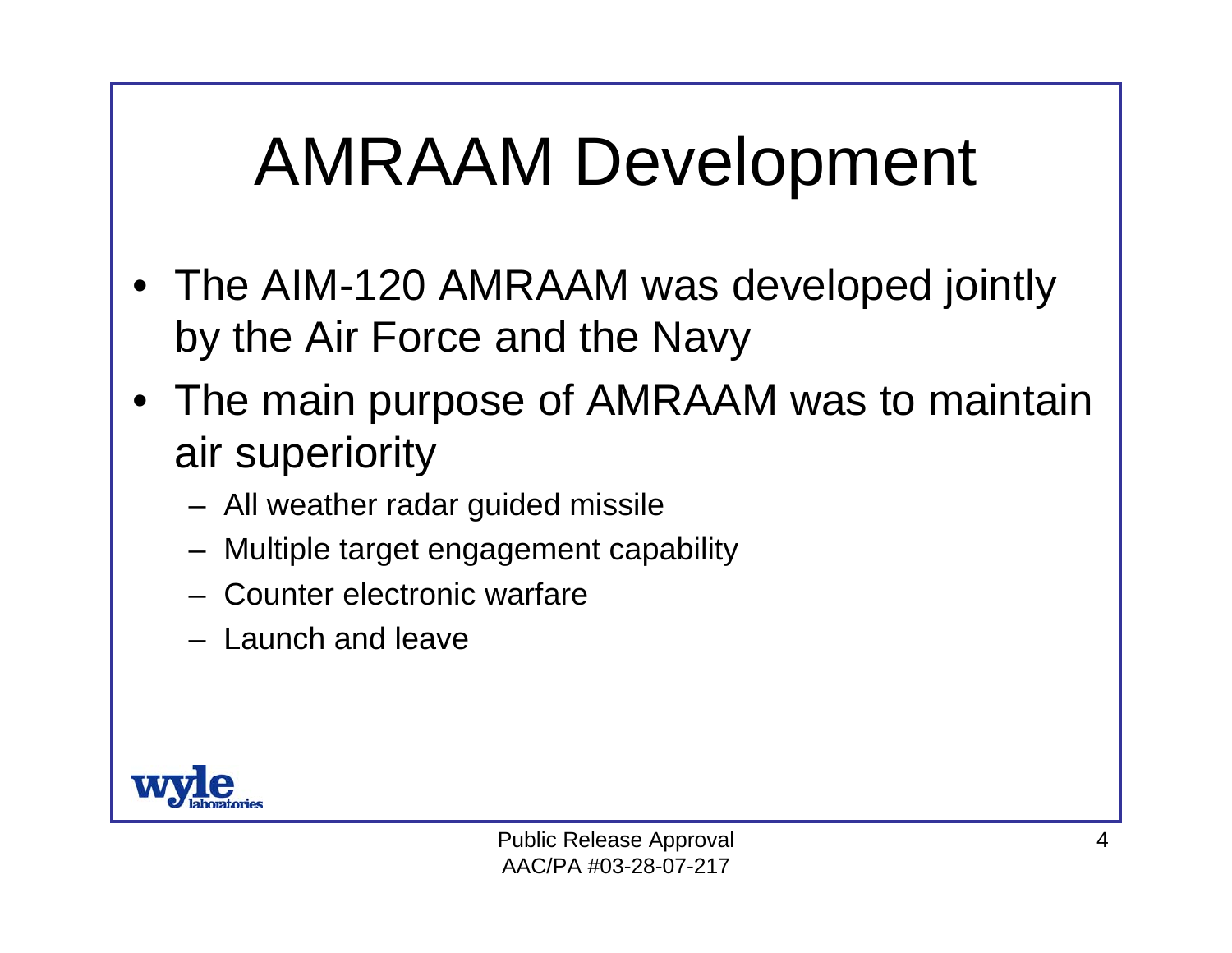#### AMRAAM Development

- • The AIM-120 AMRAAM was developed jointly by the Air Force and the Navy
- • The main purpose of AMRAAM was to maintain air superiority
	- All weather radar guided missile
	- –Multiple target engagement capability
	- Counter electronic warfare
	- Launch and leave

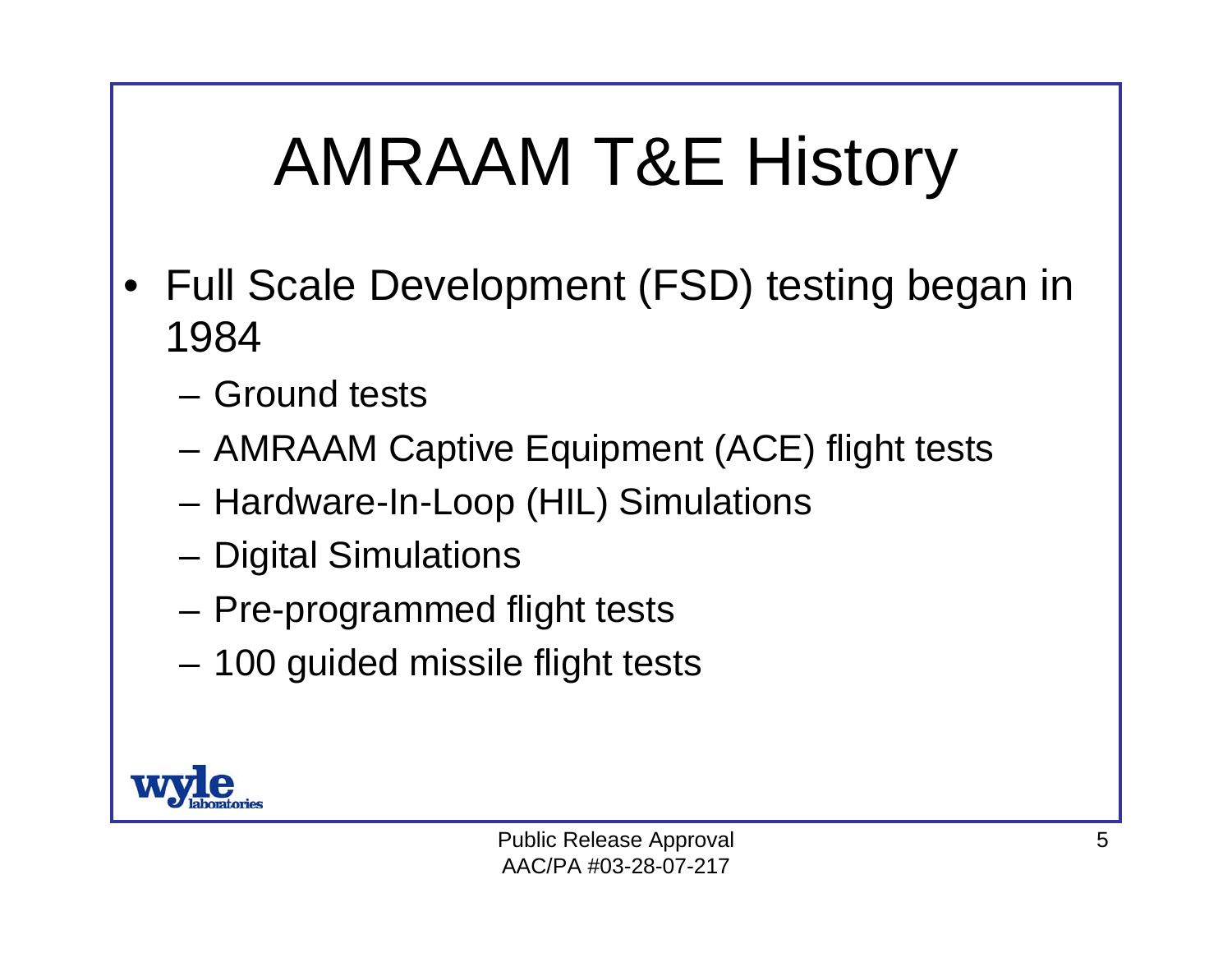# AMRAAM T&E History

- • Full Scale Development (FSD) testing began in 1984
	- Ground tests
	- AMRAAM Captive Equipment (ACE) flight tests
	- Hardware-In-Loop (HIL) Simulations
	- Digital Simulations
	- Pre-programmed flight tests
	- 100 guided missile flight tests

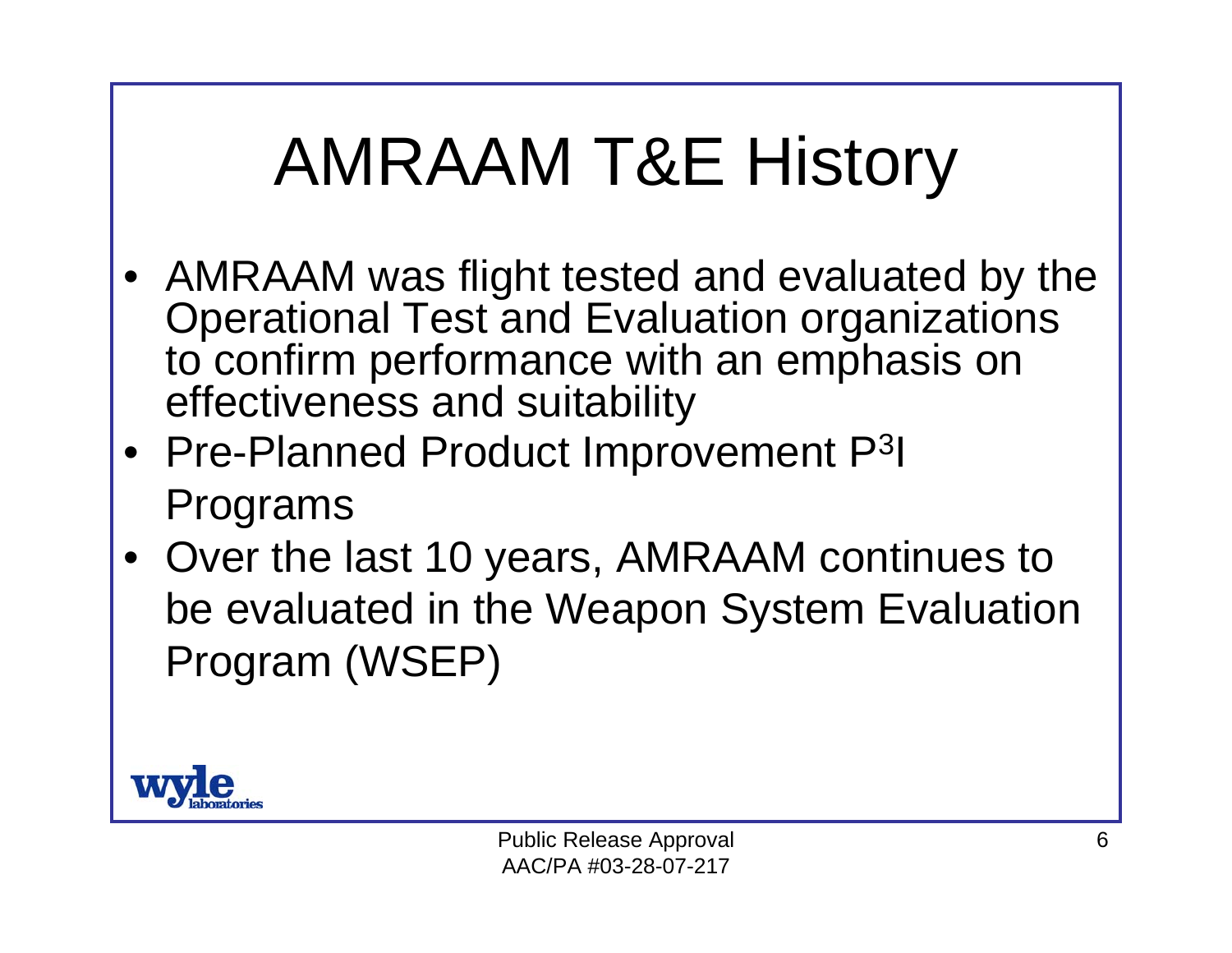# AMRAAM T&E History

- AMRAAM was flight tested and evaluated by the Operational Test and Evaluation organizations to confirm performance with an emphasis on effectiveness and suitability
- Pre-Planned Product Improvement P<sup>3</sup>I Programs
- Over the last 10 years, AMRAAM continues to be evaluated in the Weapon System Evaluation Program (WSEP)

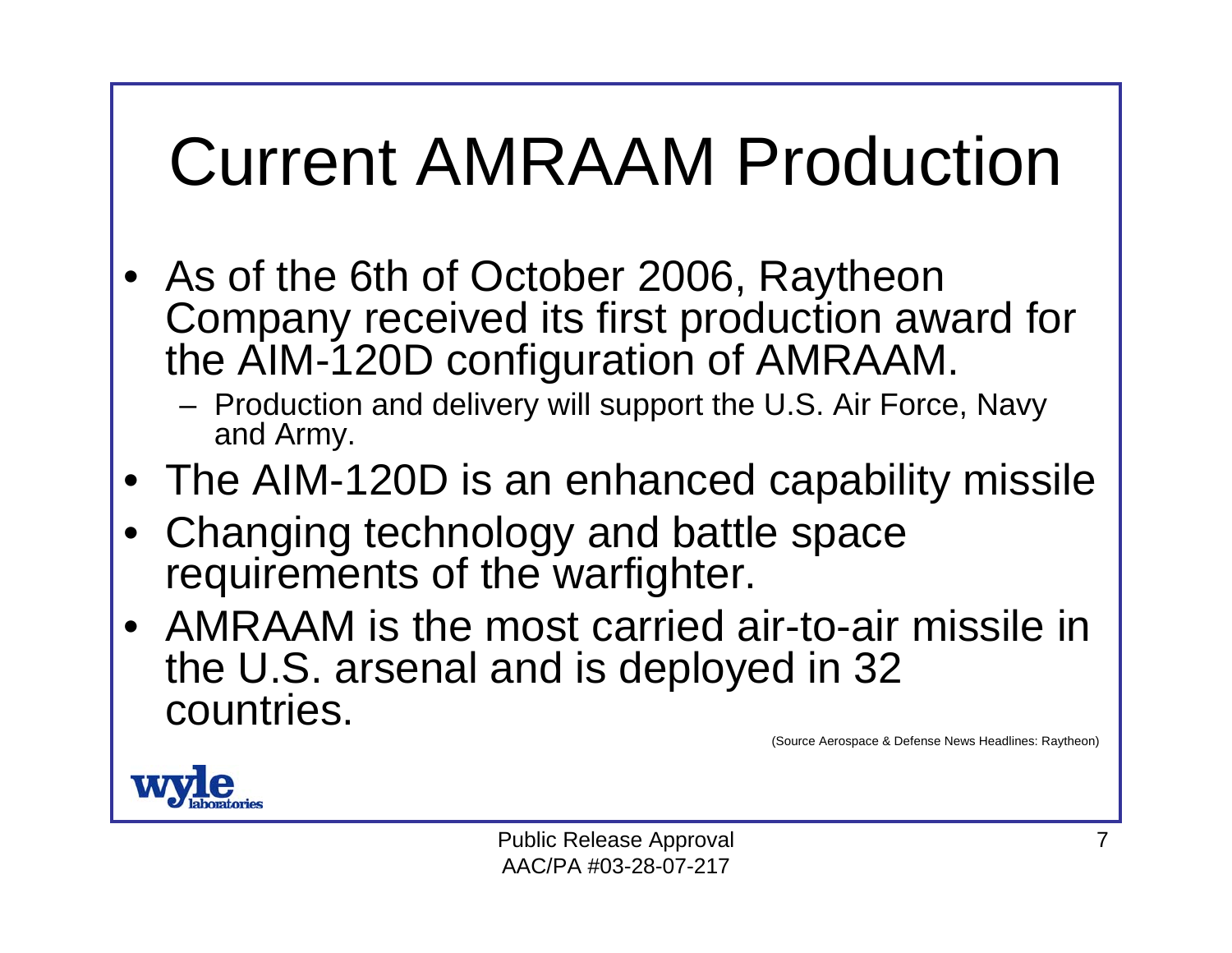### Current AMRAAM Production

- As of the 6th of October 2006, Raytheon Company received its first production award for the AIM-120D configuration of AMRAAM.
	- Production and delivery will support the U.S. Air Force, Navy and Army.
- The AIM-120D is an enhanced capability missile
- • Changing technology and battle space requirements of the warfighter.
- AMRAAM is the most carried air-to-air missile in the U.S. arsenal and is deployed in 32 countries.

(Source Aerospace & Defense News Headlines: Raytheon)



Public Release Approval AAC/PA #03-28-07-217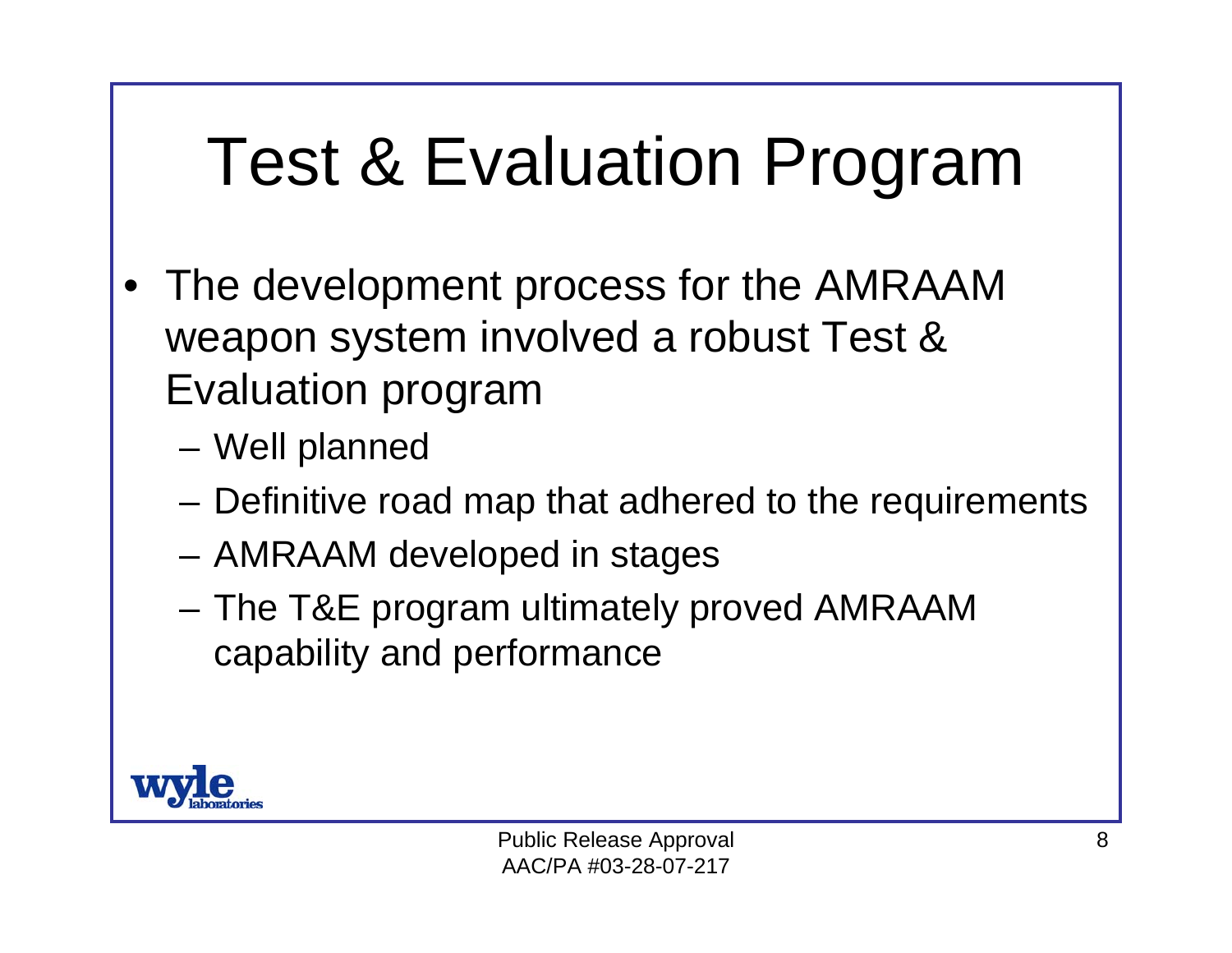# Test & Evaluation Program

- • The development process for the AMRAAM weapon system involved a robust Test & Evaluation program
	- Well planned
	- Definitive road map that adhered to the requirements
	- AMRAAM developed in stages
	- The T&E program ultimately proved AMRAAM capability and performance

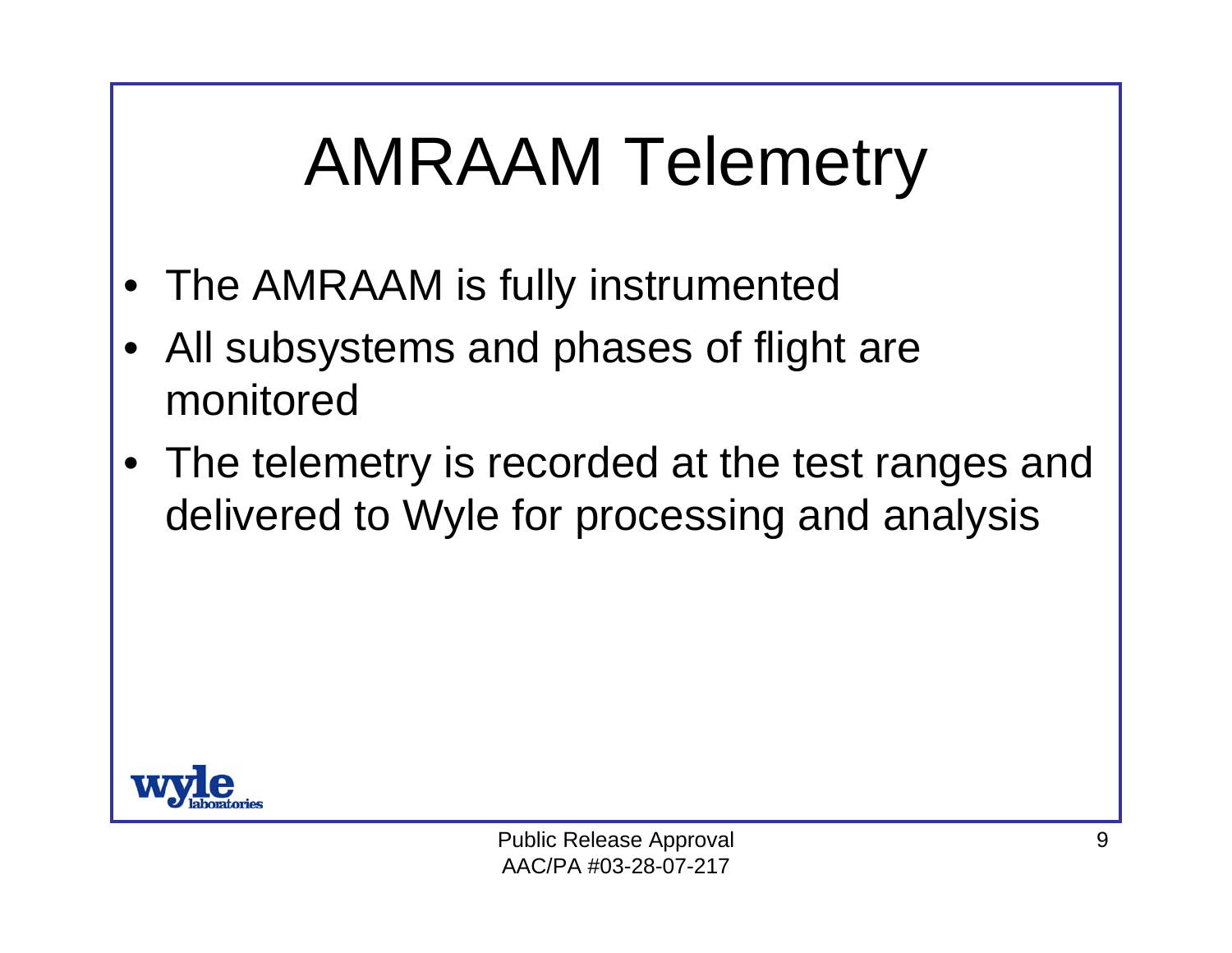#### AMRAAM Telemetry

- •The AMRAAM is fully instrumented
- • All subsystems and phases of flight are monitored
- • The telemetry is recorded at the test ranges and delivered to Wyle for processing and analysis

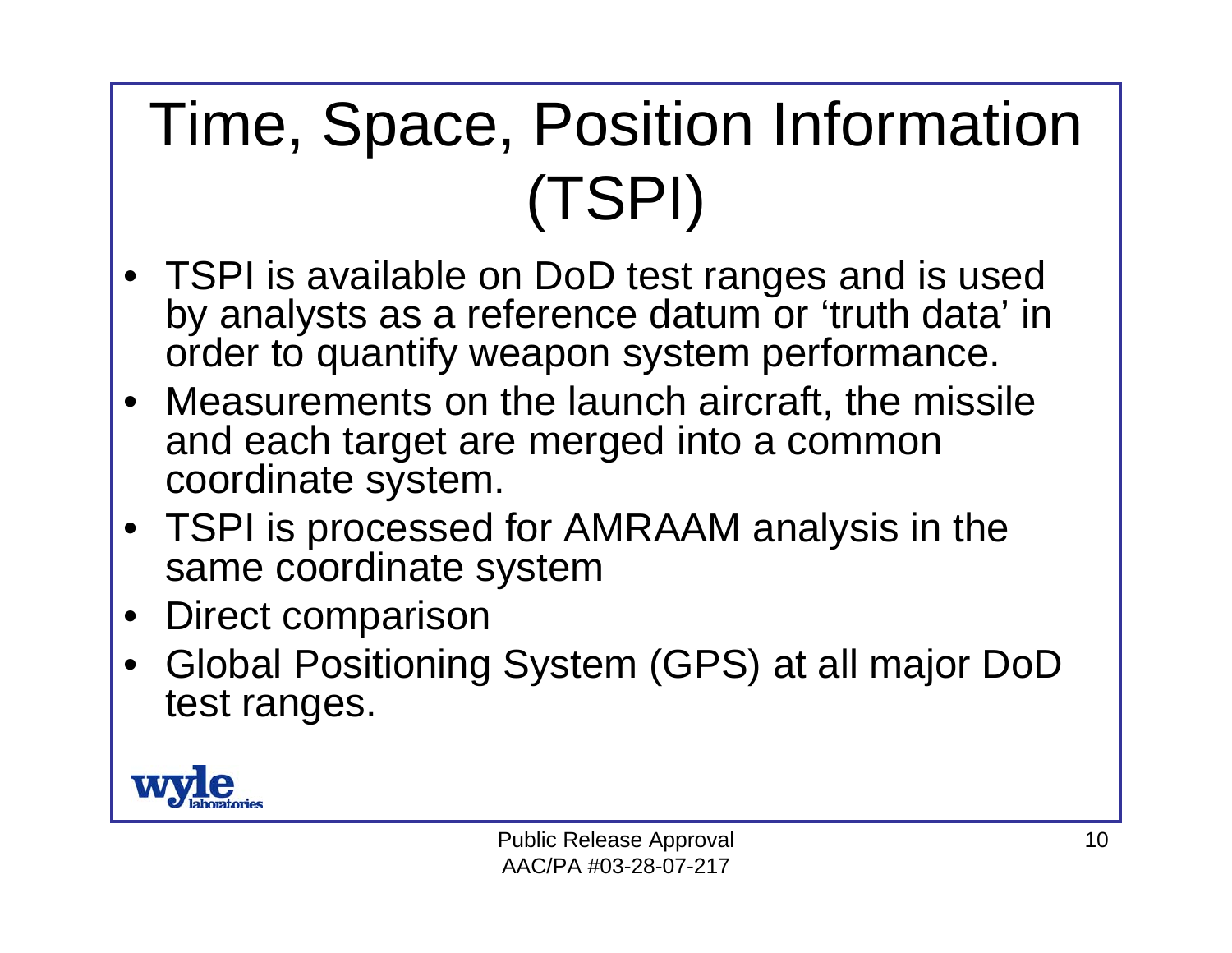#### Time, Space, Position Information (TSPI)

- TSPI is available on DoD test ranges and is used by analysts as a reference datum or 'truth data' in order to quantify weapon system performance.
- Measurements on the launch aircraft, the missile and each target are merged into a common coordinate system.
- TSPI is processed for AMRAAM analysis in the same coordinate system
- •Direct comparison
- • Global Positioning System (GPS) at all major DoD test ranges.

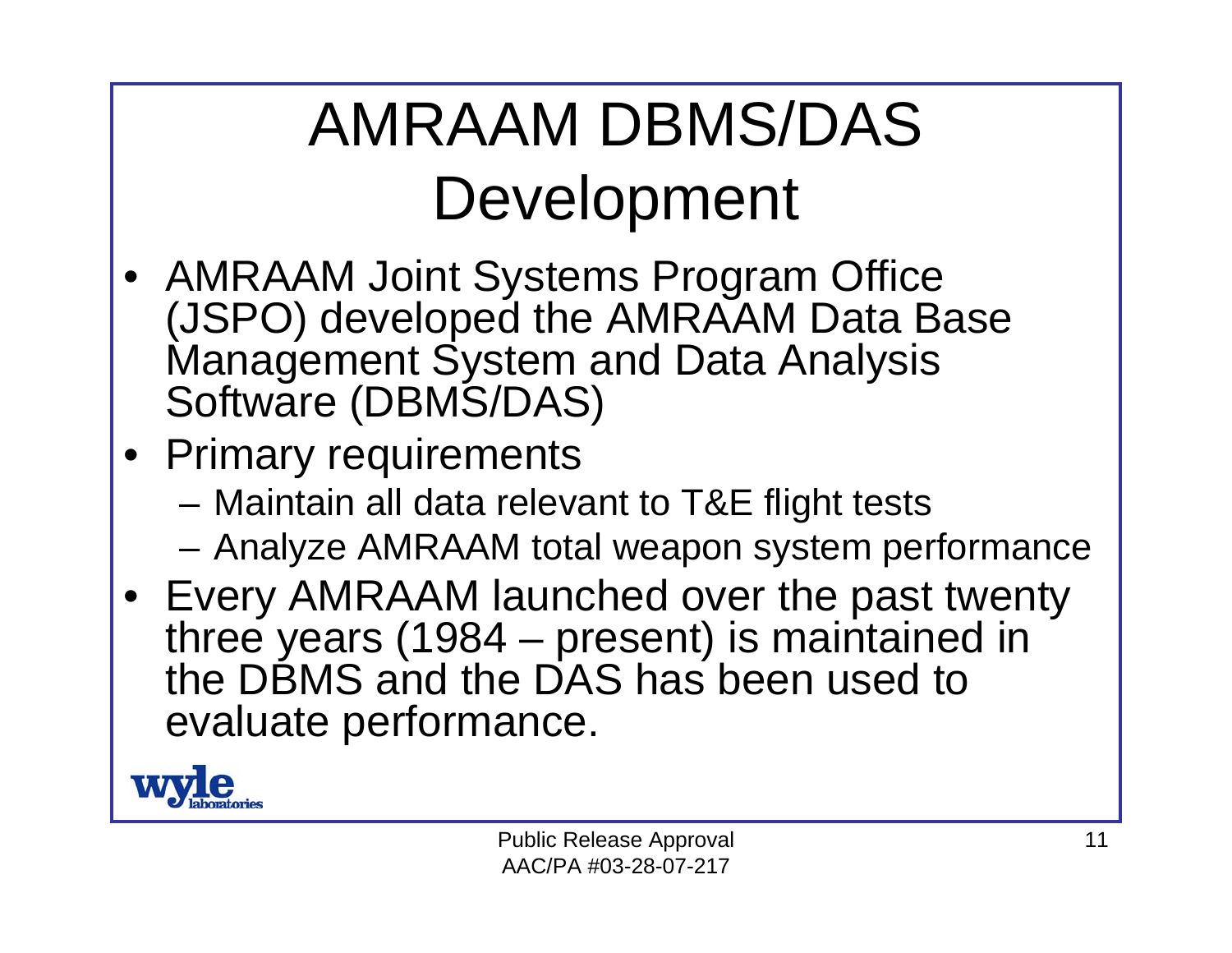#### AMRAAM DBMS/DAS Development

- AMRAAM Joint Systems Program Office (JSPO) developed the AMRAAM Data Base Management System and Data Analysis Software (DBMS/DAS)
- Primary requirements
	- Maintain all data relevant to T&E flight tests
	- Analyze AMRAAM total weapon system performance
- Every AMRAAM launched over the past twenty three years (1984 – present) is maintained in the DBMS and the DAS has been used to evaluate performance.

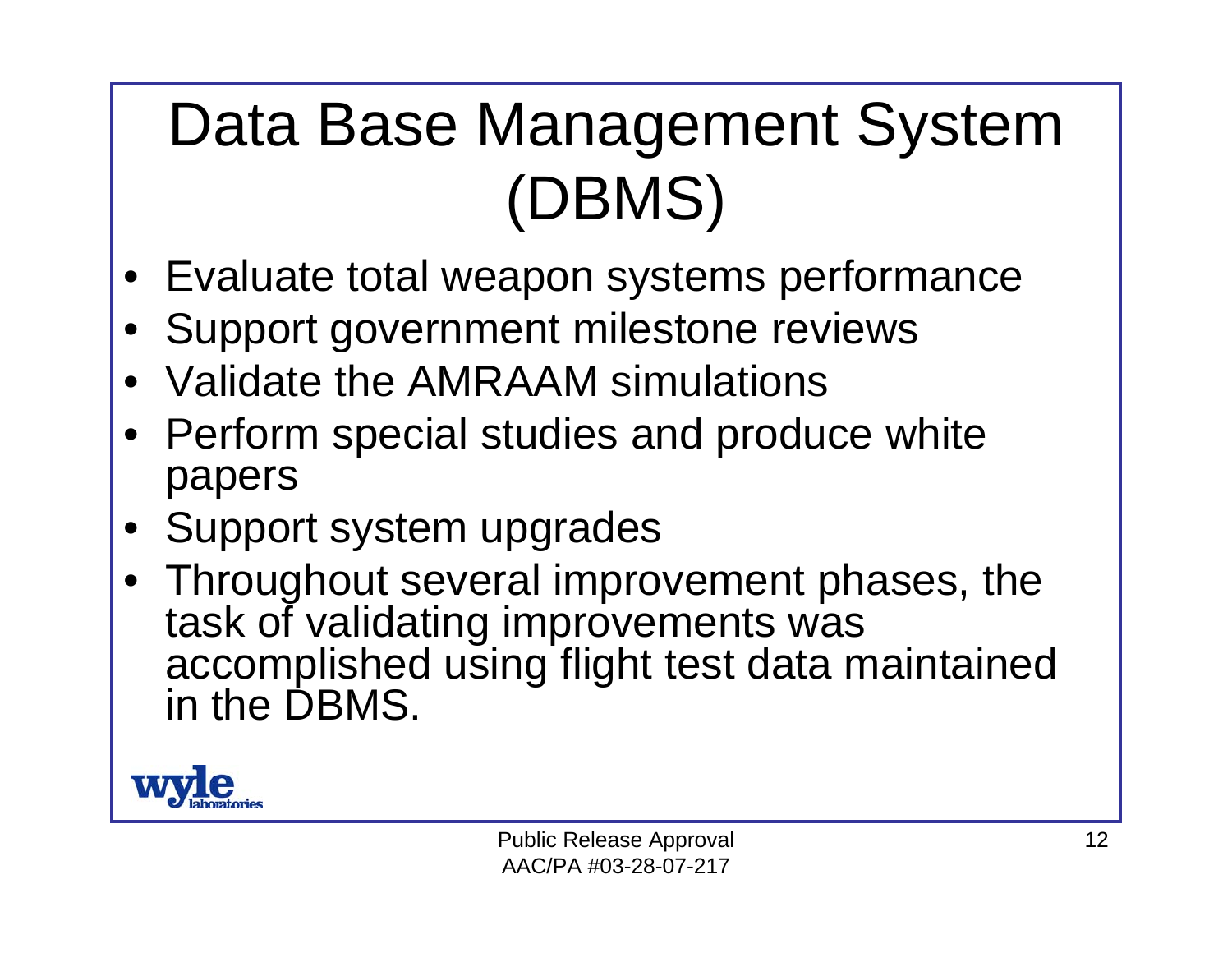#### Data Base Management System (DBMS)

- •Evaluate total weapon systems performance
- •Support government milestone reviews
- •Validate the AMRAAM simulations
- Perform special studies and produce white papers
- •Support system upgrades
- Throughout several improvement phases, the task of validating improvements was accomplished using flight test data maintained in the DBMS.

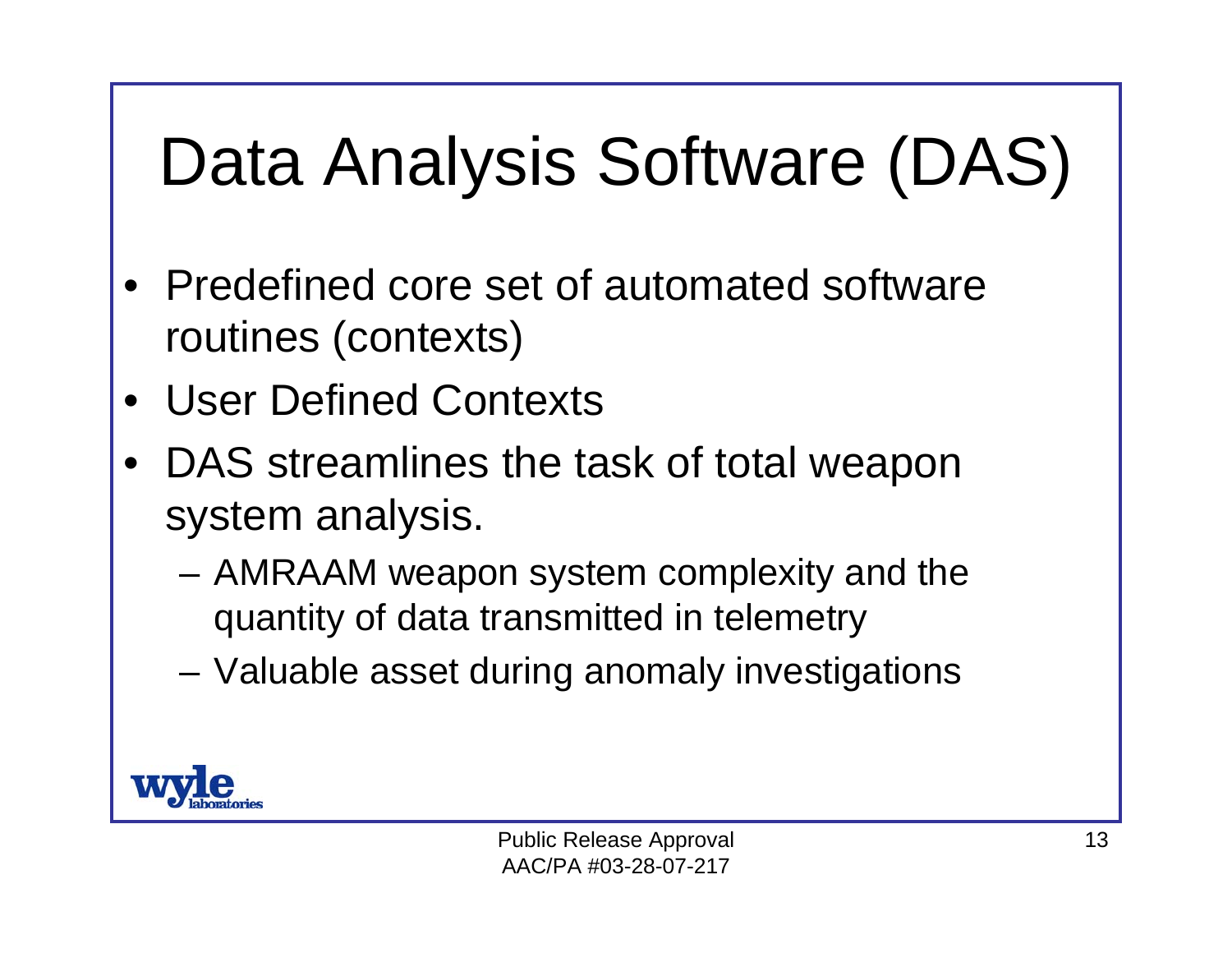# Data Analysis Software (DAS)

- • Predefined core set of automated software routines (contexts)
- •User Defined Contexts
- • DAS streamlines the task of total weapon system analysis.
	- AMRAAM weapon system complexity and the quantity of data transmitted in telemetry
	- Valuable asset during anomaly investigations

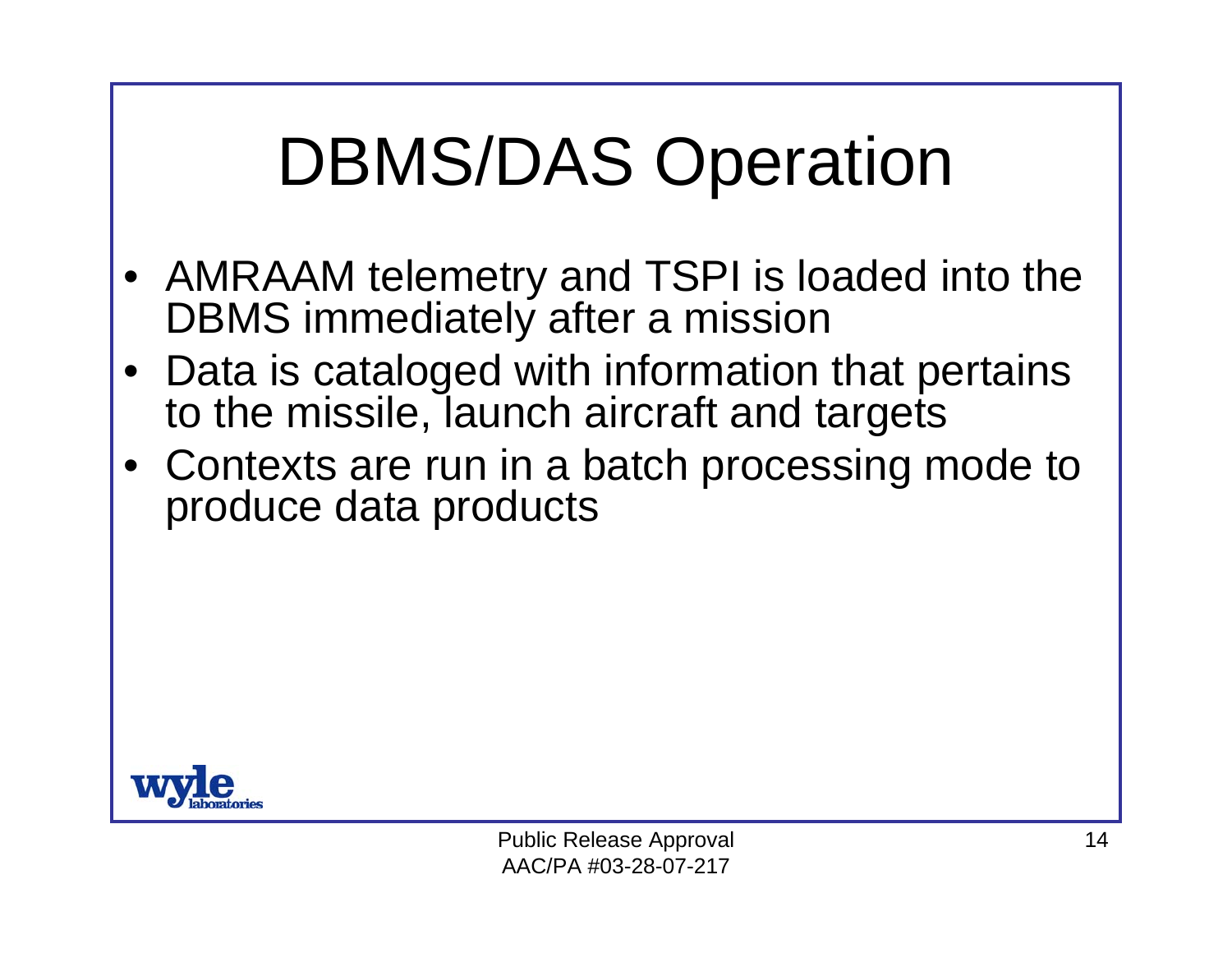## DBMS/DAS Operation

- AMRAAM telemetry and TSPI is loaded into the DBMS immediately after a mission
- Data is cataloged with information that pertains to the missile, launch aircraft and targets
- Contexts are run in a batch processing mode to produce data products

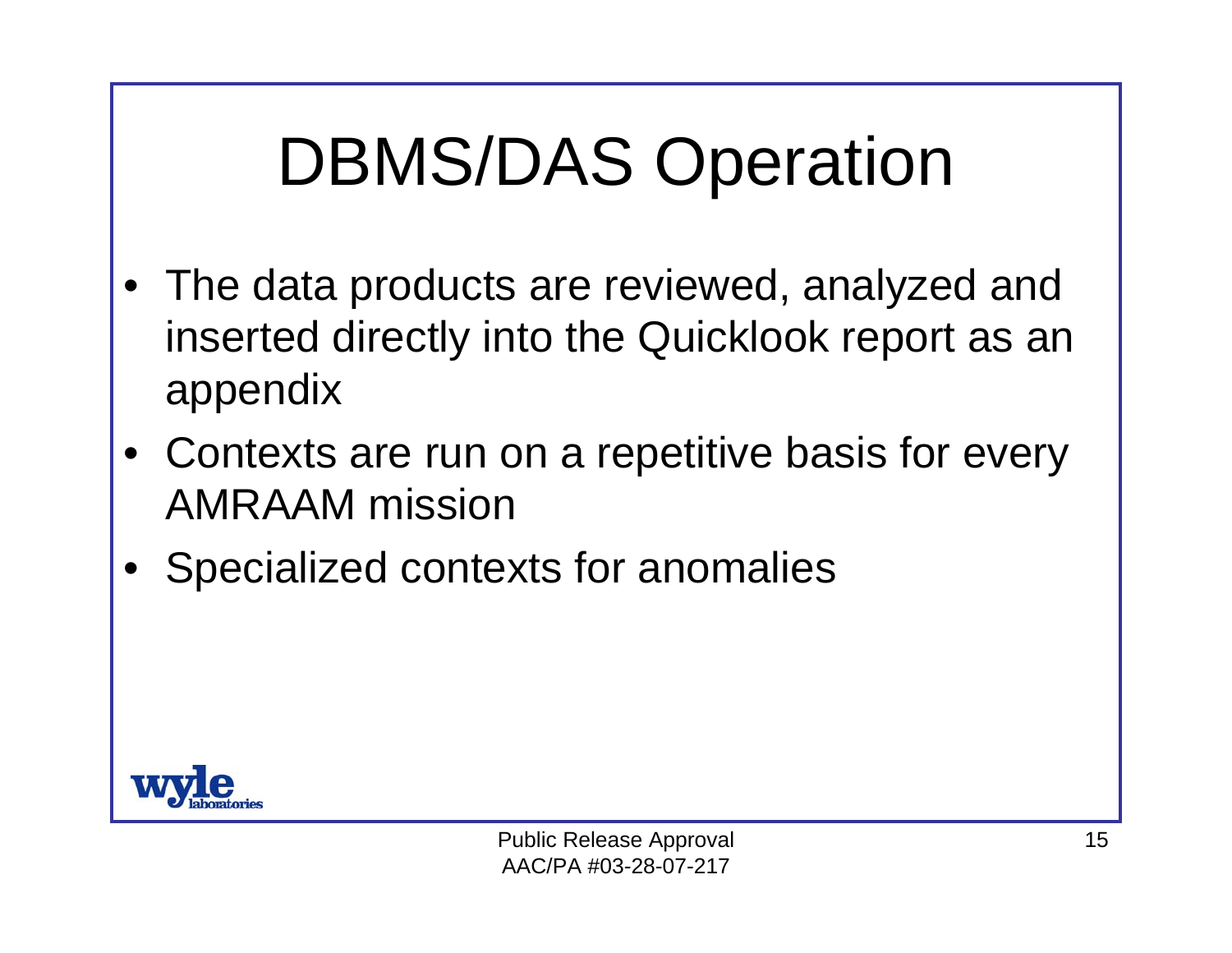## DBMS/DAS Operation

- • The data products are reviewed, analyzed and inserted directly into the Quicklook report as an appendix
- • Contexts are run on a repetitive basis for every AMRAAM mission
- •Specialized contexts for anomalies

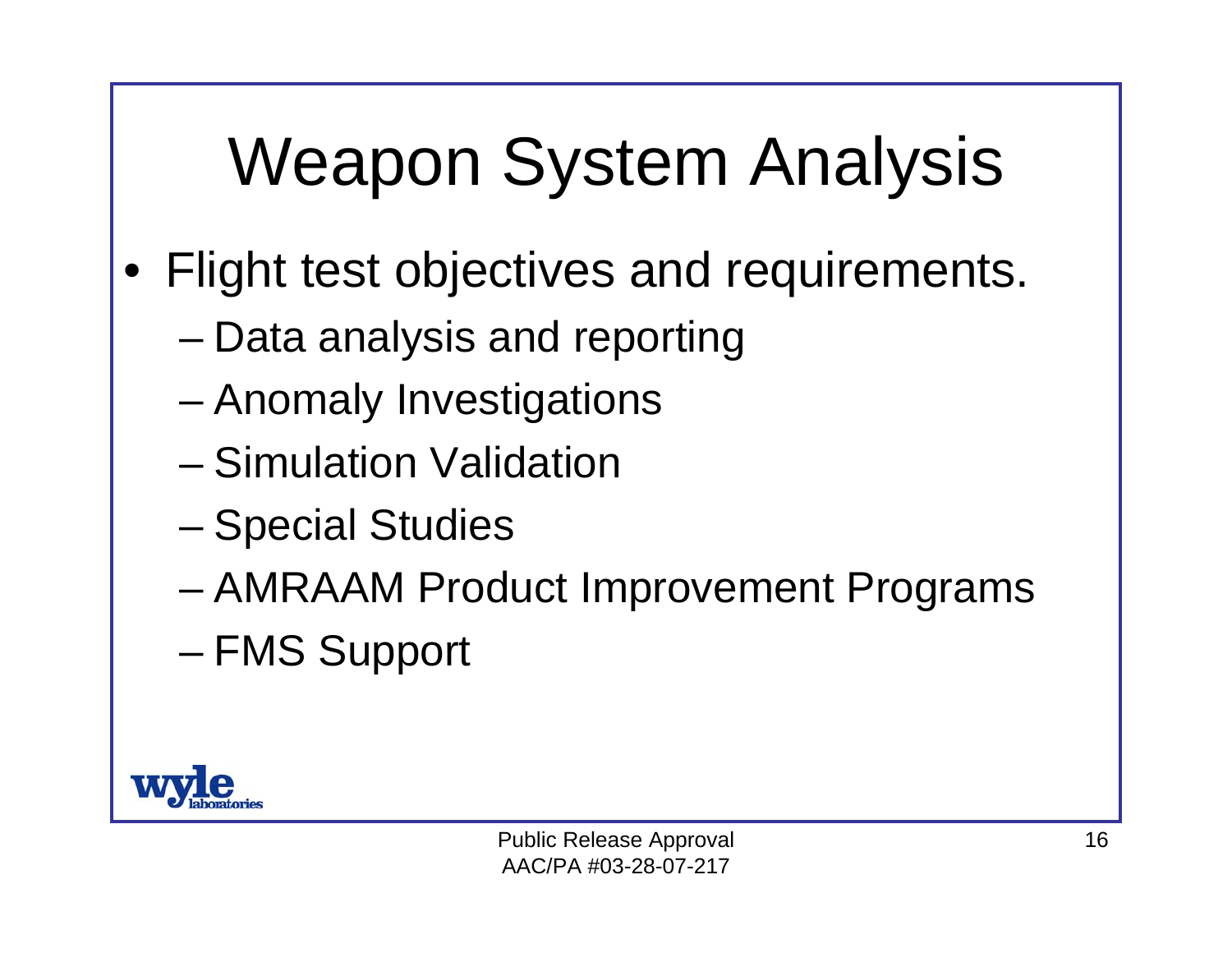# Weapon System Analysis

- • Flight test objectives and requirements.
	- Data analysis and reporting
	- Anomaly Investigations
	- Simulation Validation
	- –Special Studies
	- –AMRAAM Product Improvement Programs
	- –FMS Support

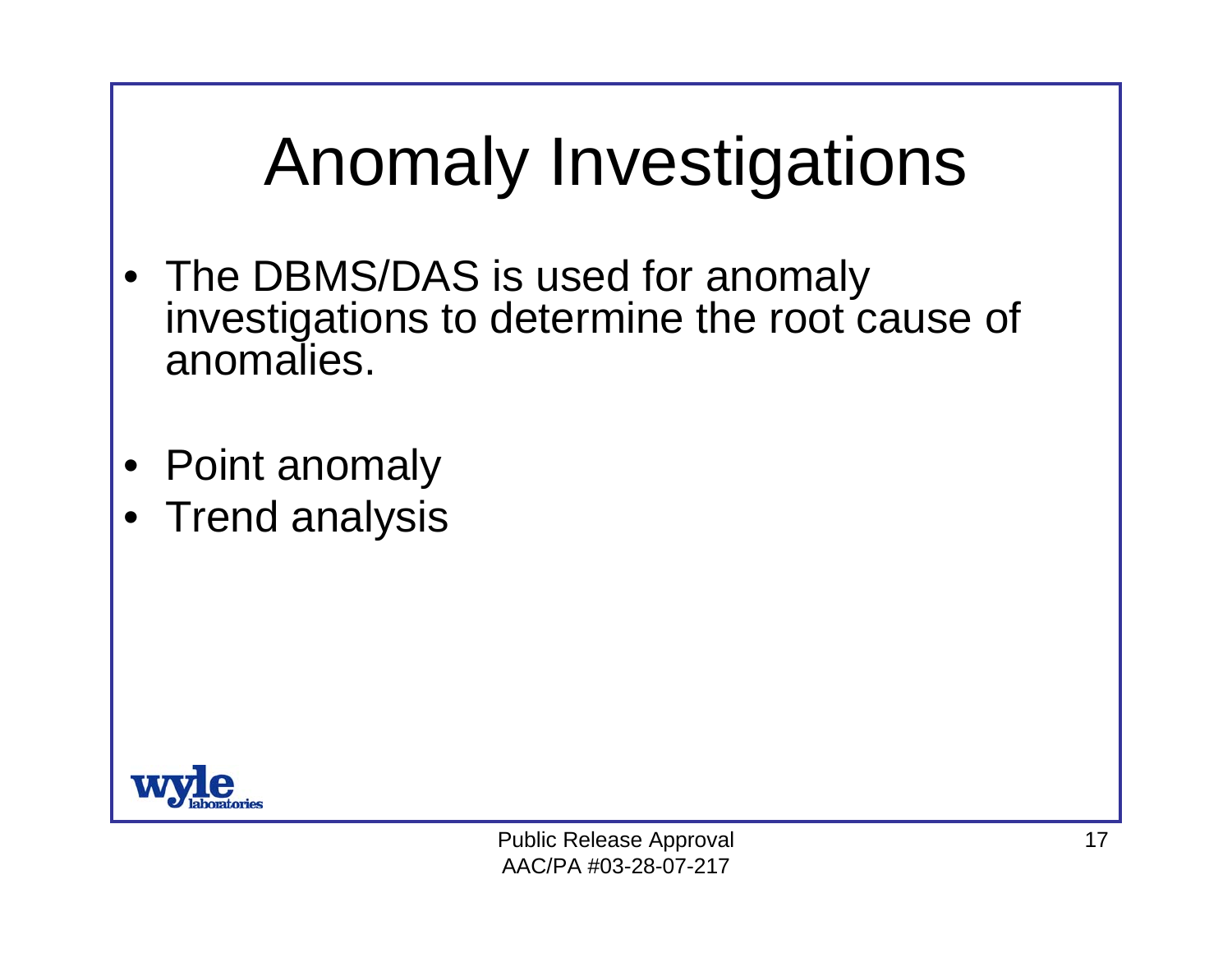## Anomaly Investigations

- The DBMS/DAS is used for anomaly investigations to determine the root cause of anomalies.
- Point anomaly
- Trend analysis

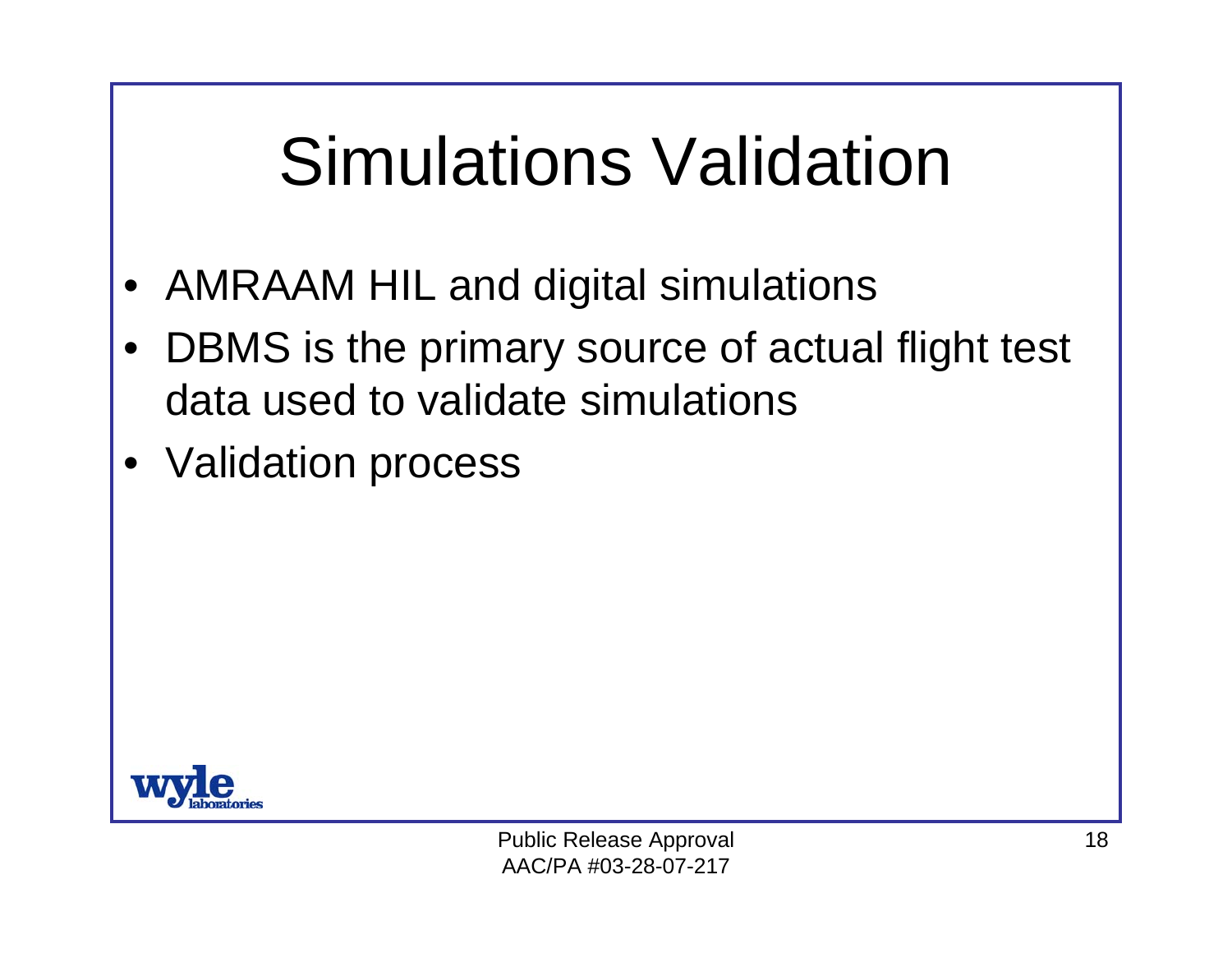## Simulations Validation

- •AMRAAM HIL and digital simulations
- • DBMS is the primary source of actual flight test data used to validate simulations
- •Validation process

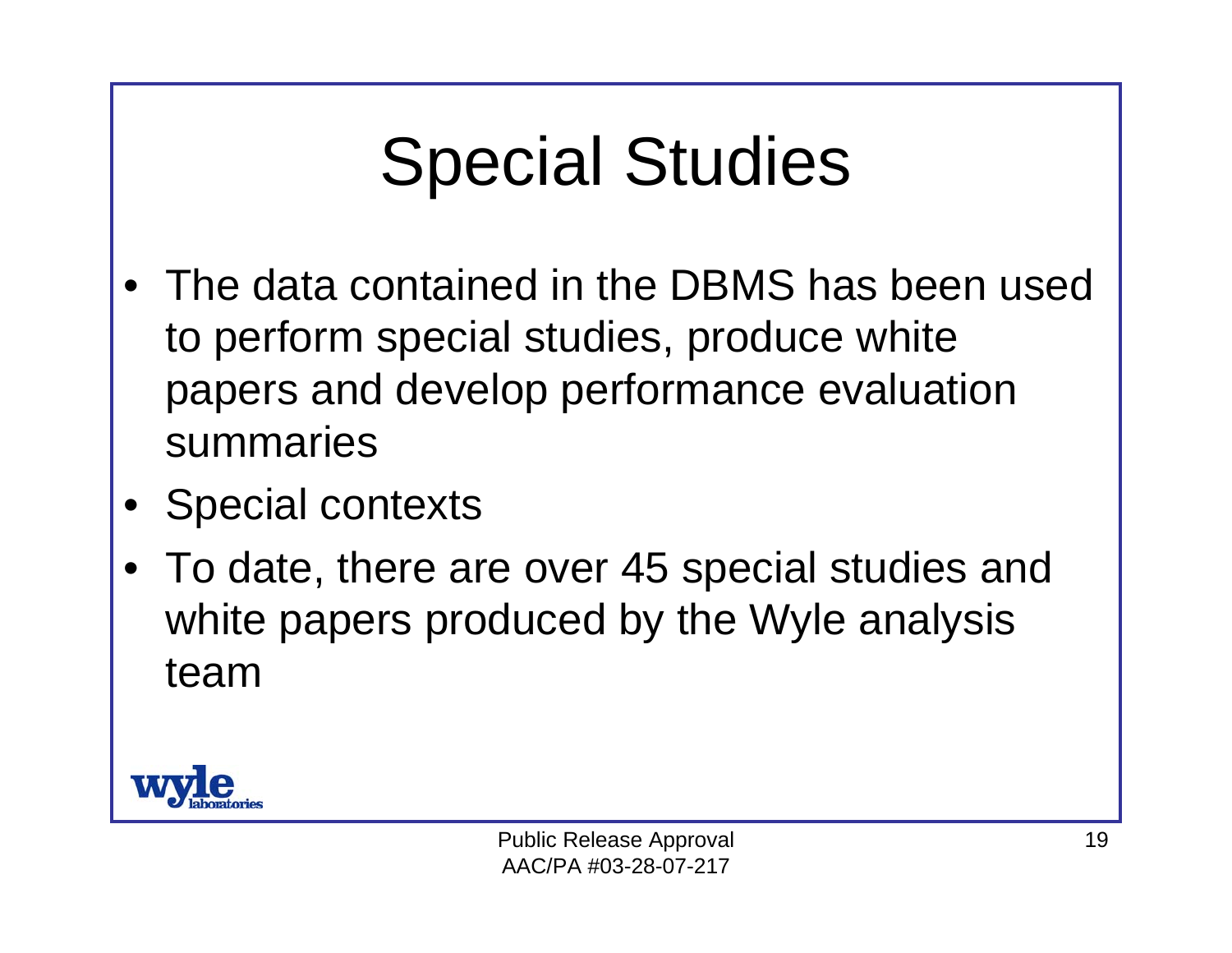## Special Studies

- • The data contained in the DBMS has been used to perform special studies, produce white papers and develop performance evaluation summaries
- •Special contexts
- • To date, there are over 45 special studies and white papers produced by the Wyle analysis team

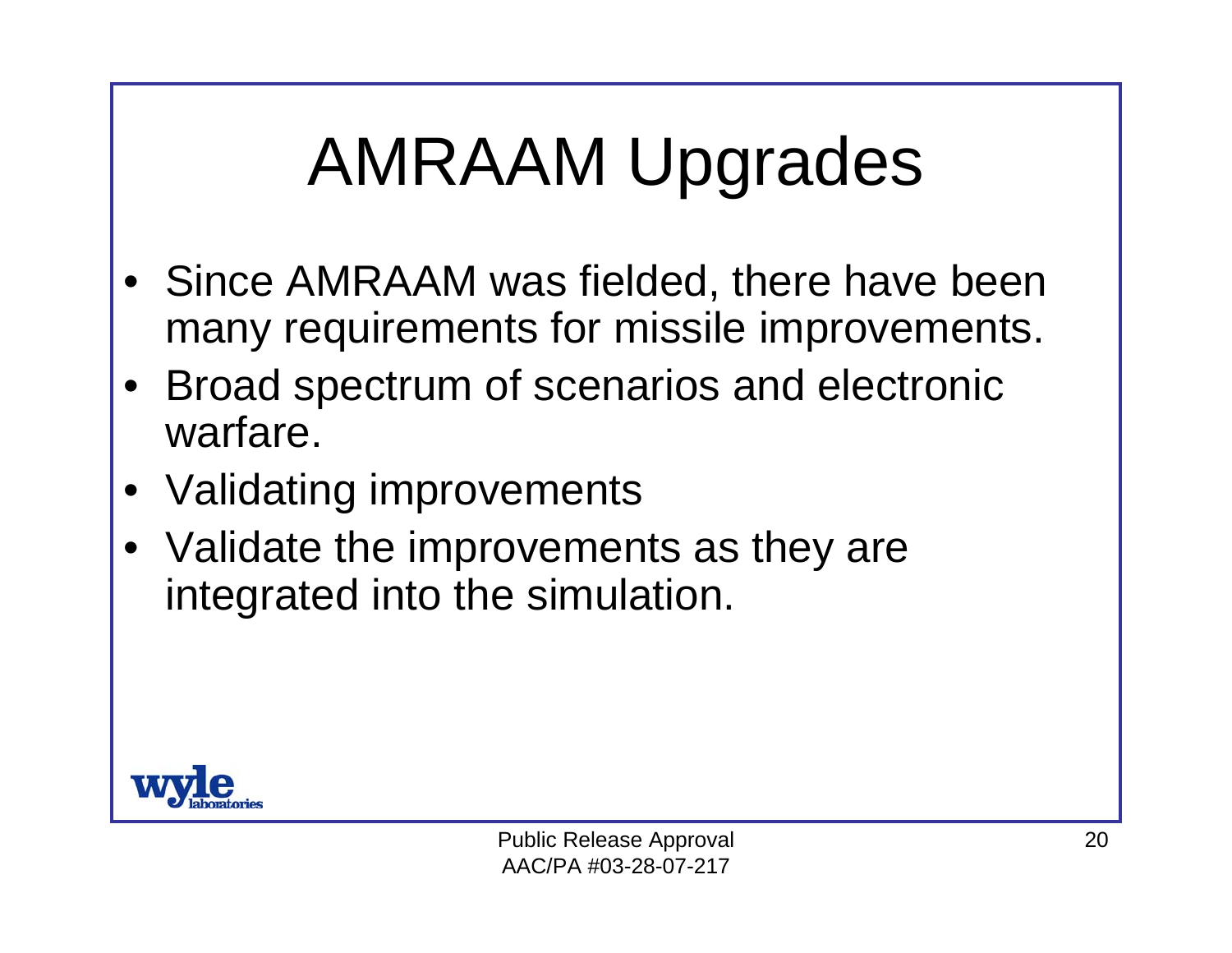## AMRAAM Upgrades

- • Since AMRAAM was fielded, there have been many requirements for missile improvements.
- • Broad spectrum of scenarios and electronic warfare.
- •Validating improvements
- Validate the improvements as they are integrated into the simulation.

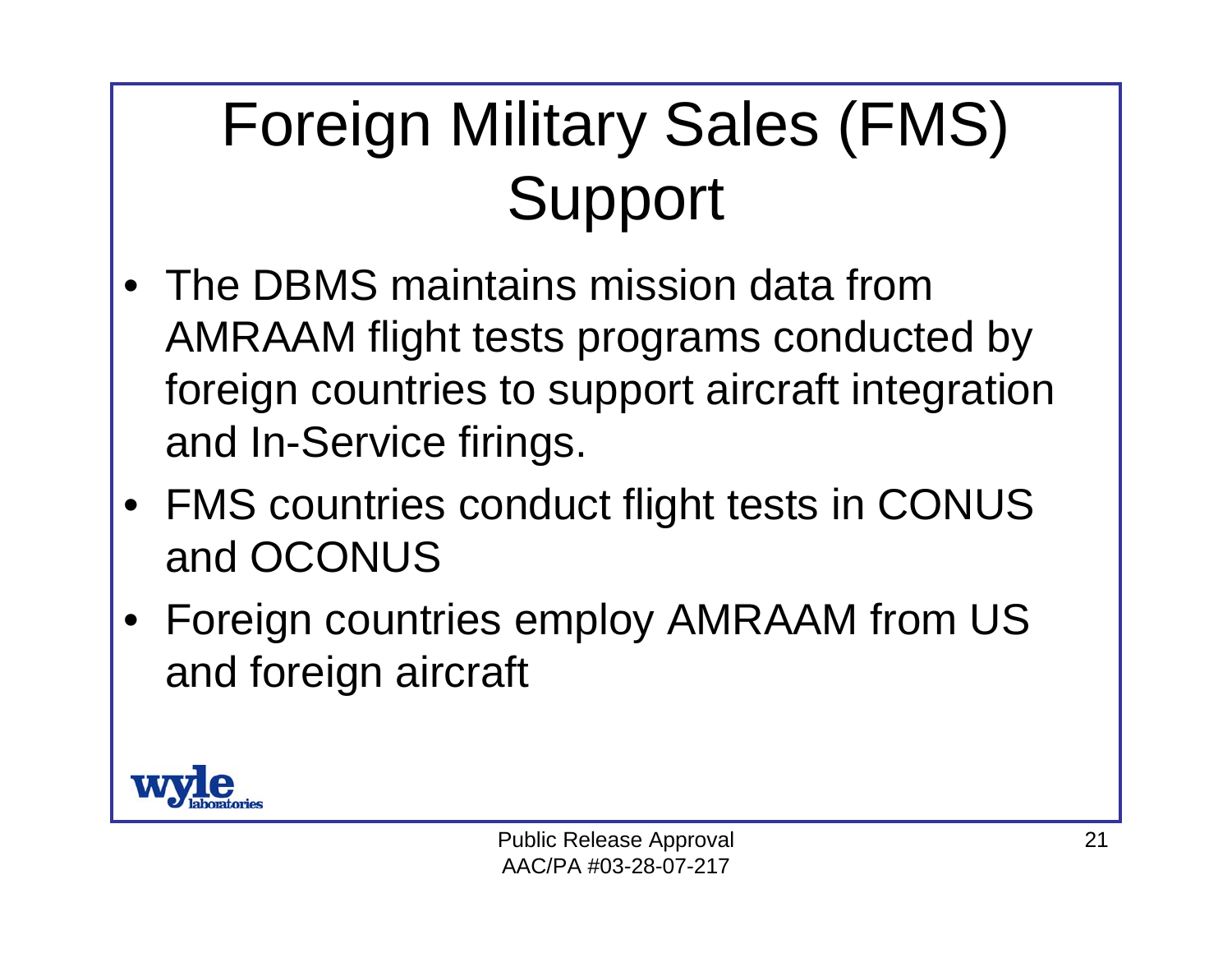#### Foreign Military Sales (FMS) Support

- • The DBMS maintains mission data from AMRAAM flight tests programs conducted by foreign countries to support aircraft integration and In-Service firings.
- FMS countries conduct flight tests in CONUS and OCONUS
- • Foreign countries employ AMRAAM from US and foreign aircraft

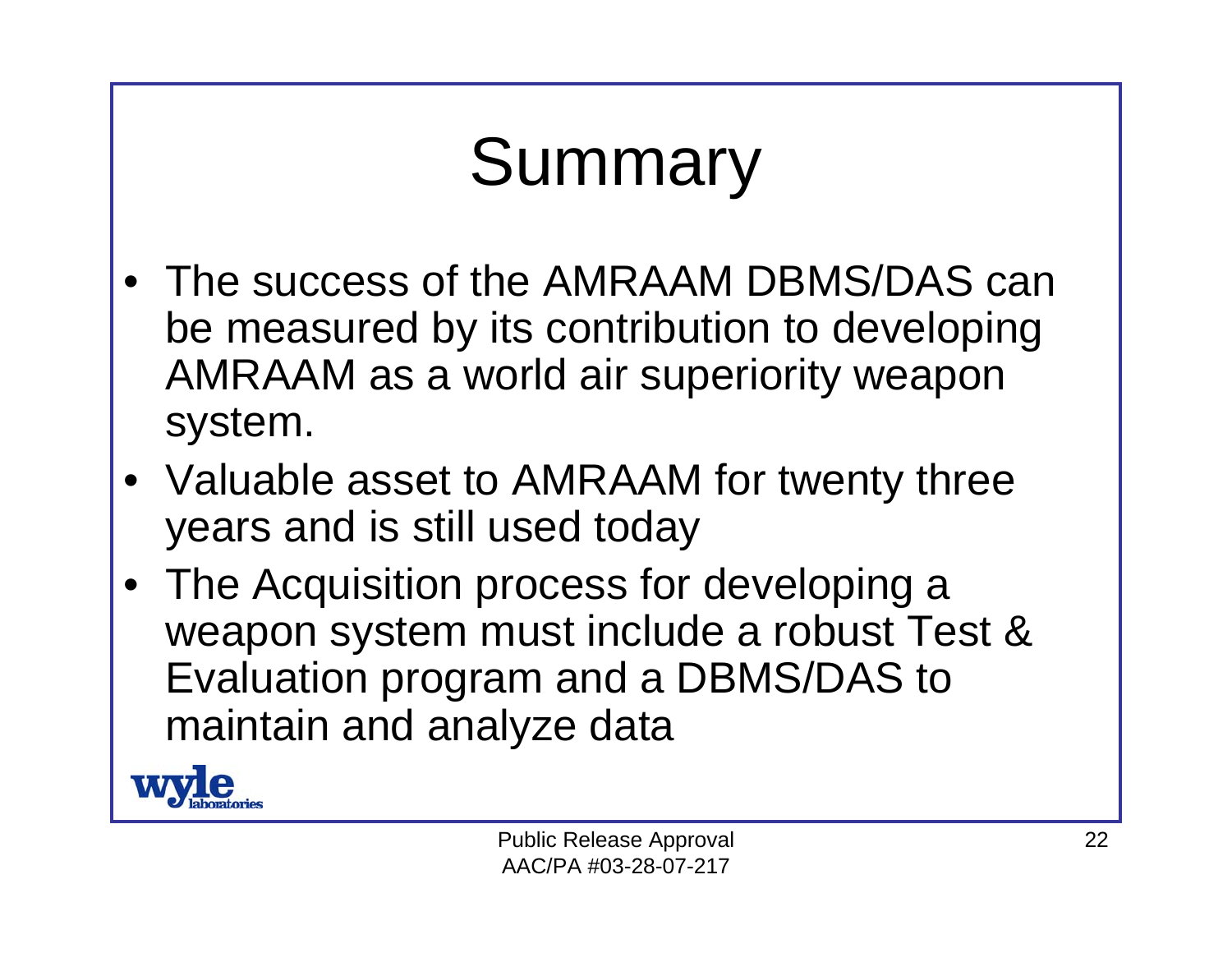# Summary

- • The success of the AMRAAM DBMS/DAS can be measured by its contribution to developing AMRAAM as a world air superiority weapon system.
- Valuable asset to AMRAAM for twenty three years and is still used today
- The Acquisition process for developing a weapon system must include a robust Test & Evaluation program and a DBMS/DAS to maintain and analyze data

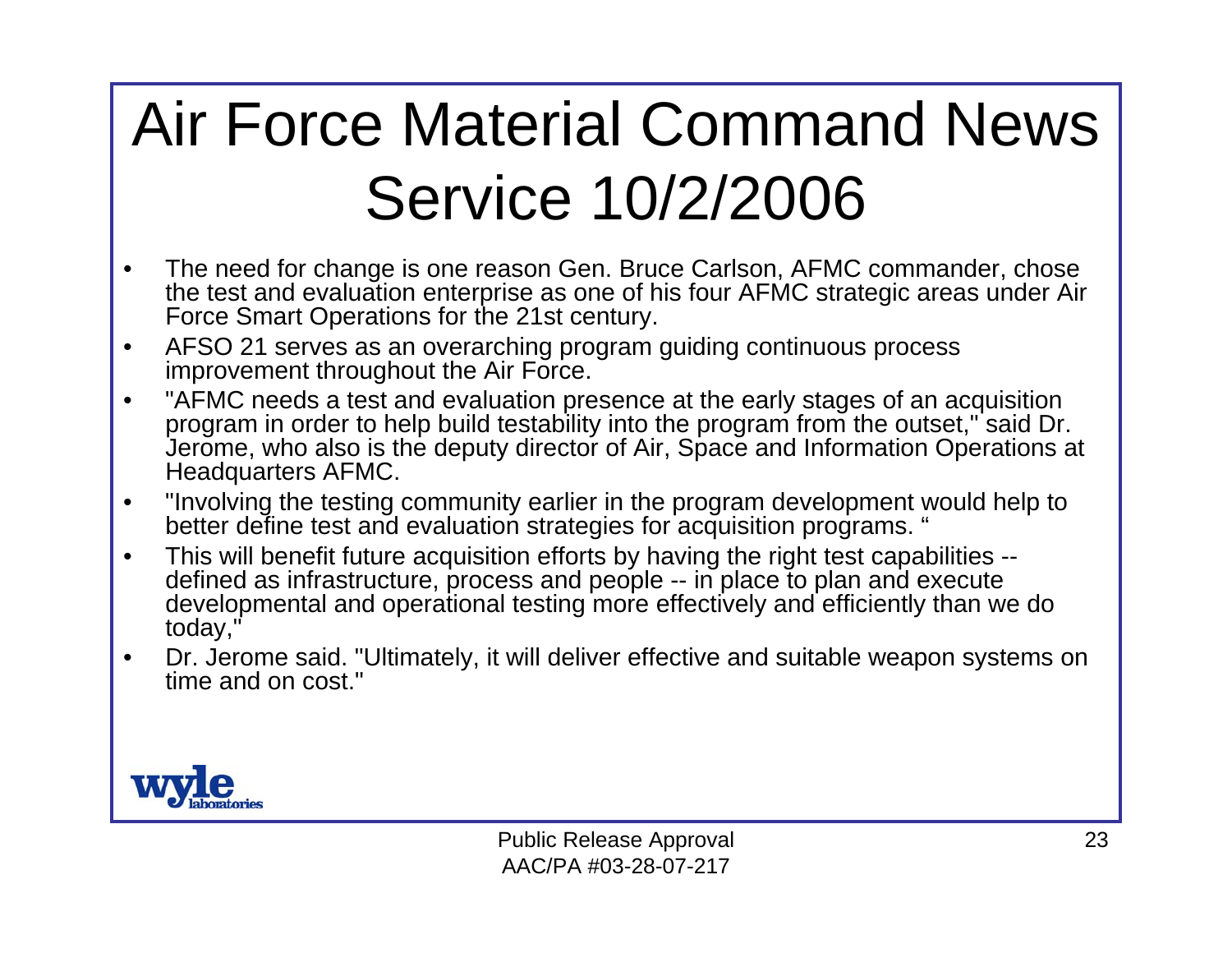#### Air Force Material Command News Service 10/2/2006

- $\bullet$  The need for change is one reason Gen. Bruce Carlson, AFMC commander, chose the test and evaluation enterprise as one of his four AFMC strategic areas under Air Force Smart Operations for the 21st century.
- • AFSO 21 serves as an overarching program guiding continuous process improvement throughout the Air Force.
- • "AFMC needs a test and evaluation presence at the early stages of an acquisition program in order to help build testability into the program from the outset," said Dr. Jerome, who also is the deputy director of Air, Space and Information Operations at Headquarters AFMC.
- $\bullet$  "Involving the testing community earlier in the program development would help to better define test and evaluation strategies for acquisition programs. "
- • This will benefit future acquisition efforts by having the right test capabilities - defined as infrastructure, process and people -- in place to plan and execute developmental and operational testing more effectively and efficiently than we do today,"
- • Dr. Jerome said. "Ultimately, it will deliver effective and suitable weapon systems on time and on cost."